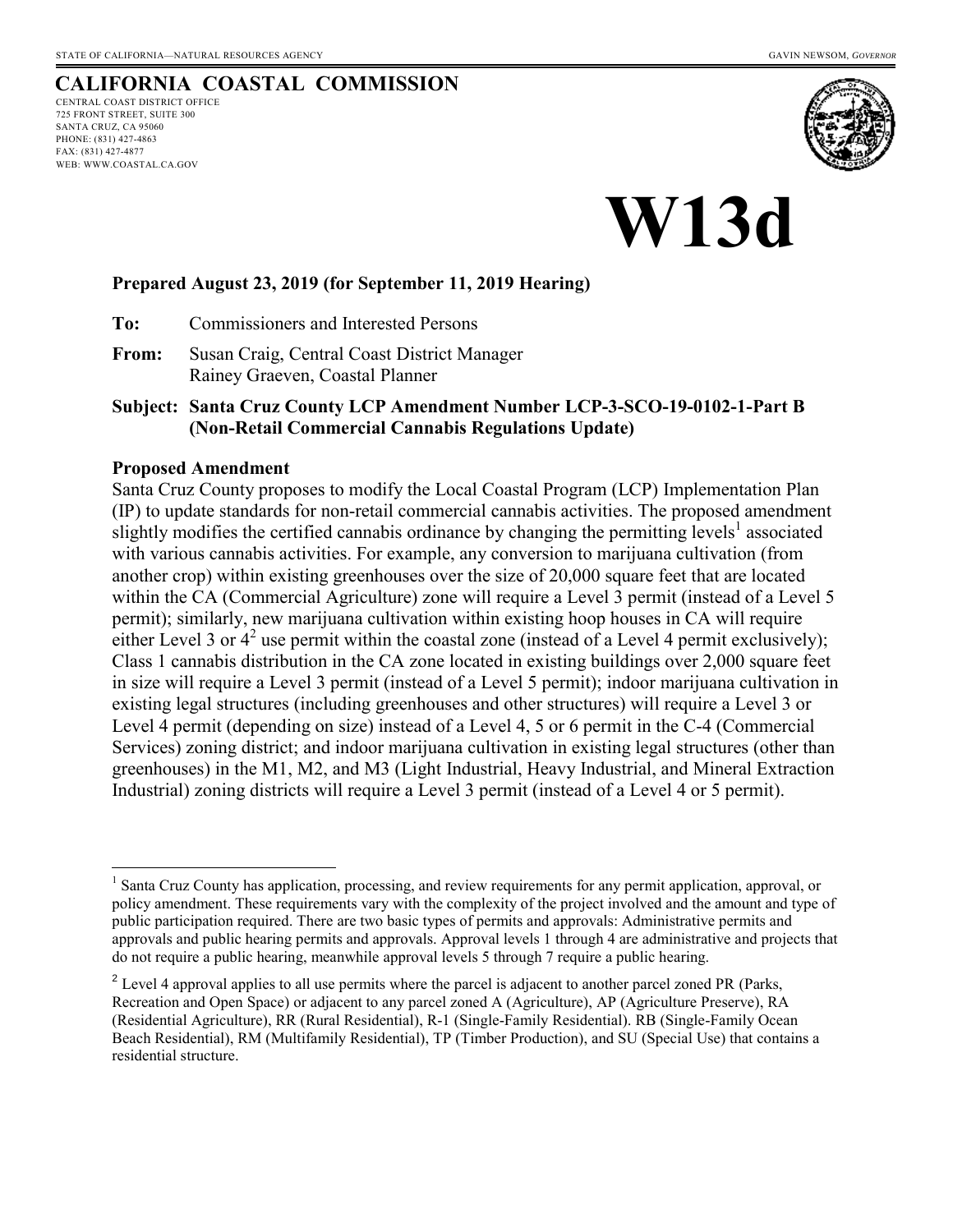# **CALIFORNIA COASTAL COMMISSION**

CENTRAL COAST DISTRICT OFFICE 725 FRONT STREET, SUITE 300 SANTA CRUZ, CA 95060 PHONE: (831) 427-4863 FAX: (831) 427-4877 WEB: WWW.COASTAL.CA.GOV



# **W13d**

#### **Prepared August 23, 2019 (for September 11, 2019 Hearing)**

**To:** Commissioners and Interested Persons

**From:** Susan Craig, Central Coast District Manager Rainey Graeven, Coastal Planner

**Subject: Santa Cruz County LCP Amendment Number LCP-3-SCO-19-0102-1-Part B (Non-Retail Commercial Cannabis Regulations Update)** 

#### **Proposed Amendment**

Santa Cruz County proposes to modify the Local Coastal Program (LCP) Implementation Plan (IP) to update standards for non-retail commercial cannabis activities. The proposed amendment slightly modifies the certified cannabis ordinance by changing the permitting levels<sup>1</sup> associated with various cannabis activities. For example, any conversion to marijuana cultivation (from another crop) within existing greenhouses over the size of 20,000 square feet that are located within the CA (Commercial Agriculture) zone will require a Level 3 permit (instead of a Level 5 permit); similarly, new marijuana cultivation within existing hoop houses in CA will require either Level 3 or  $4^2$  use permit within the coastal zone (instead of a Level 4 permit exclusively); Class 1 cannabis distribution in the CA zone located in existing buildings over 2,000 square feet in size will require a Level 3 permit (instead of a Level 5 permit); indoor marijuana cultivation in existing legal structures (including greenhouses and other structures) will require a Level 3 or Level 4 permit (depending on size) instead of a Level 4, 5 or 6 permit in the C-4 (Commercial Services) zoning district; and indoor marijuana cultivation in existing legal structures (other than greenhouses) in the M1, M2, and M3 (Light Industrial, Heavy Industrial, and Mineral Extraction Industrial) zoning districts will require a Level 3 permit (instead of a Level 4 or 5 permit).

 $\overline{a}$ <sup>1</sup> Santa Cruz County has application, processing, and review requirements for any permit application, approval, or policy amendment. These requirements vary with the complexity of the project involved and the amount and type of public participation required. There are two basic types of permits and approvals: Administrative permits and approvals and public hearing permits and approvals. Approval levels 1 through 4 are administrative and projects that do not require a public hearing, meanwhile approval levels 5 through 7 require a public hearing.

 $2^2$  Level 4 approval applies to all use permits where the parcel is adjacent to another parcel zoned PR (Parks, Recreation and Open Space) or adjacent to any parcel zoned A (Agriculture), AP (Agriculture Preserve), RA (Residential Agriculture), RR (Rural Residential), R-1 (Single-Family Residential). RB (Single-Family Ocean Beach Residential), RM (Multifamily Residential), TP (Timber Production), and SU (Special Use) that contains a residential structure.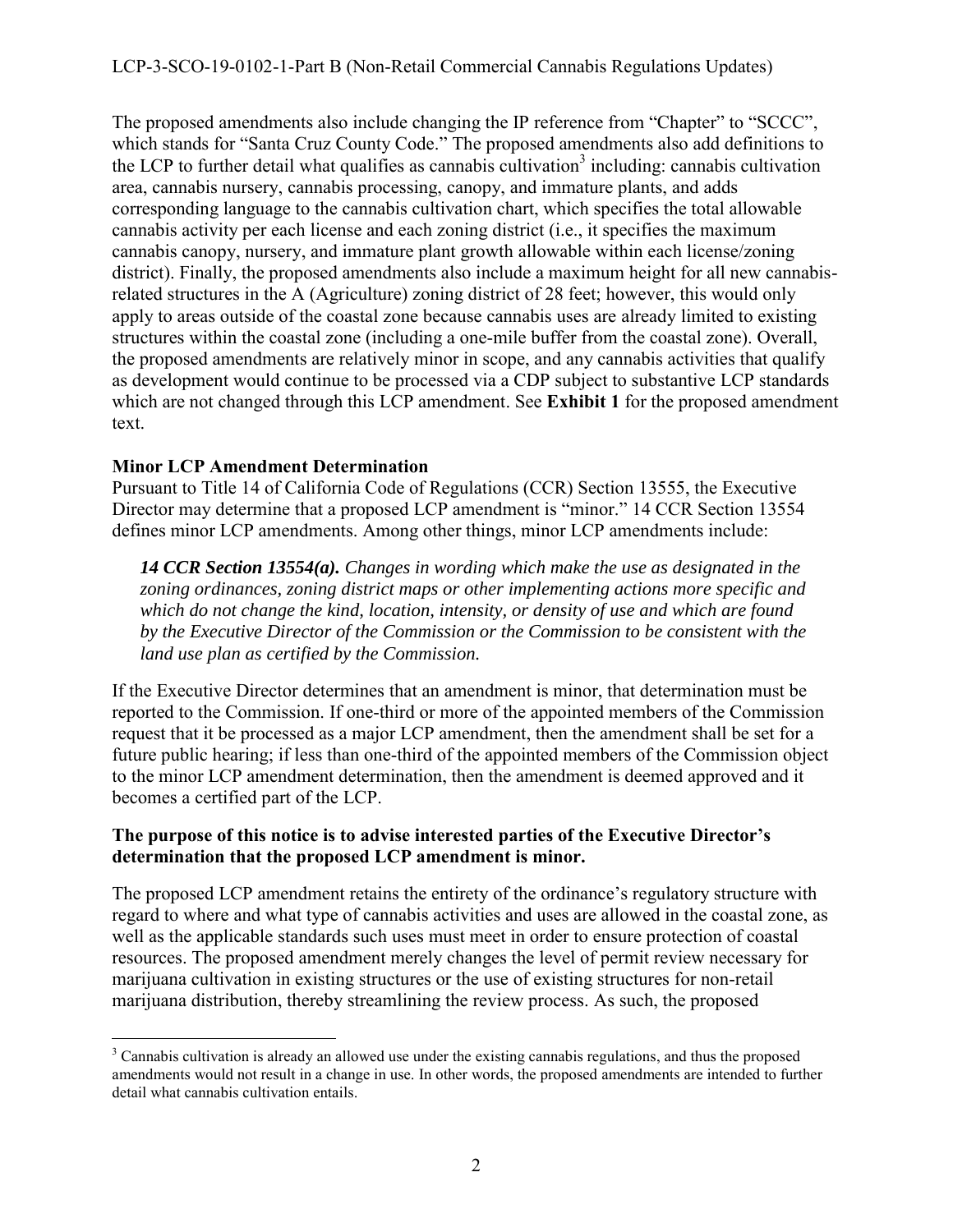## LCP-3-SCO-19-0102-1-Part B (Non-Retail Commercial Cannabis Regulations Updates)

The proposed amendments also include changing the IP reference from "Chapter" to "SCCC", which stands for "Santa Cruz County Code." The proposed amendments also add definitions to the LCP to further detail what qualifies as cannabis cultivation<sup>3</sup> including: cannabis cultivation area, cannabis nursery, cannabis processing, canopy, and immature plants, and adds corresponding language to the cannabis cultivation chart, which specifies the total allowable cannabis activity per each license and each zoning district (i.e., it specifies the maximum cannabis canopy, nursery, and immature plant growth allowable within each license/zoning district). Finally, the proposed amendments also include a maximum height for all new cannabisrelated structures in the A (Agriculture) zoning district of 28 feet; however, this would only apply to areas outside of the coastal zone because cannabis uses are already limited to existing structures within the coastal zone (including a one-mile buffer from the coastal zone). Overall, the proposed amendments are relatively minor in scope, and any cannabis activities that qualify as development would continue to be processed via a CDP subject to substantive LCP standards which are not changed through this LCP amendment. See **Exhibit 1** for the proposed amendment text.

### **Minor LCP Amendment Determination**

Pursuant to Title 14 of California Code of Regulations (CCR) Section 13555, the Executive Director may determine that a proposed LCP amendment is "minor." 14 CCR Section 13554 defines minor LCP amendments. Among other things, minor LCP amendments include:

*14 CCR Section 13554(a). Changes in wording which make the use as designated in the zoning ordinances, zoning district maps or other implementing actions more specific and which do not change the kind, location, intensity, or density of use and which are found by the Executive Director of the Commission or the Commission to be consistent with the land use plan as certified by the Commission.* 

If the Executive Director determines that an amendment is minor, that determination must be reported to the Commission. If one-third or more of the appointed members of the Commission request that it be processed as a major LCP amendment, then the amendment shall be set for a future public hearing; if less than one-third of the appointed members of the Commission object to the minor LCP amendment determination, then the amendment is deemed approved and it becomes a certified part of the LCP.

### **The purpose of this notice is to advise interested parties of the Executive Director's determination that the proposed LCP amendment is minor.**

The proposed LCP amendment retains the entirety of the ordinance's regulatory structure with regard to where and what type of cannabis activities and uses are allowed in the coastal zone, as well as the applicable standards such uses must meet in order to ensure protection of coastal resources. The proposed amendment merely changes the level of permit review necessary for marijuana cultivation in existing structures or the use of existing structures for non-retail marijuana distribution, thereby streamlining the review process. As such, the proposed

<sup>&</sup>lt;sup>3</sup> Cannabis cultivation is already an allowed use under the existing cannabis regulations, and thus the proposed amendments would not result in a change in use. In other words, the proposed amendments are intended to further detail what cannabis cultivation entails.